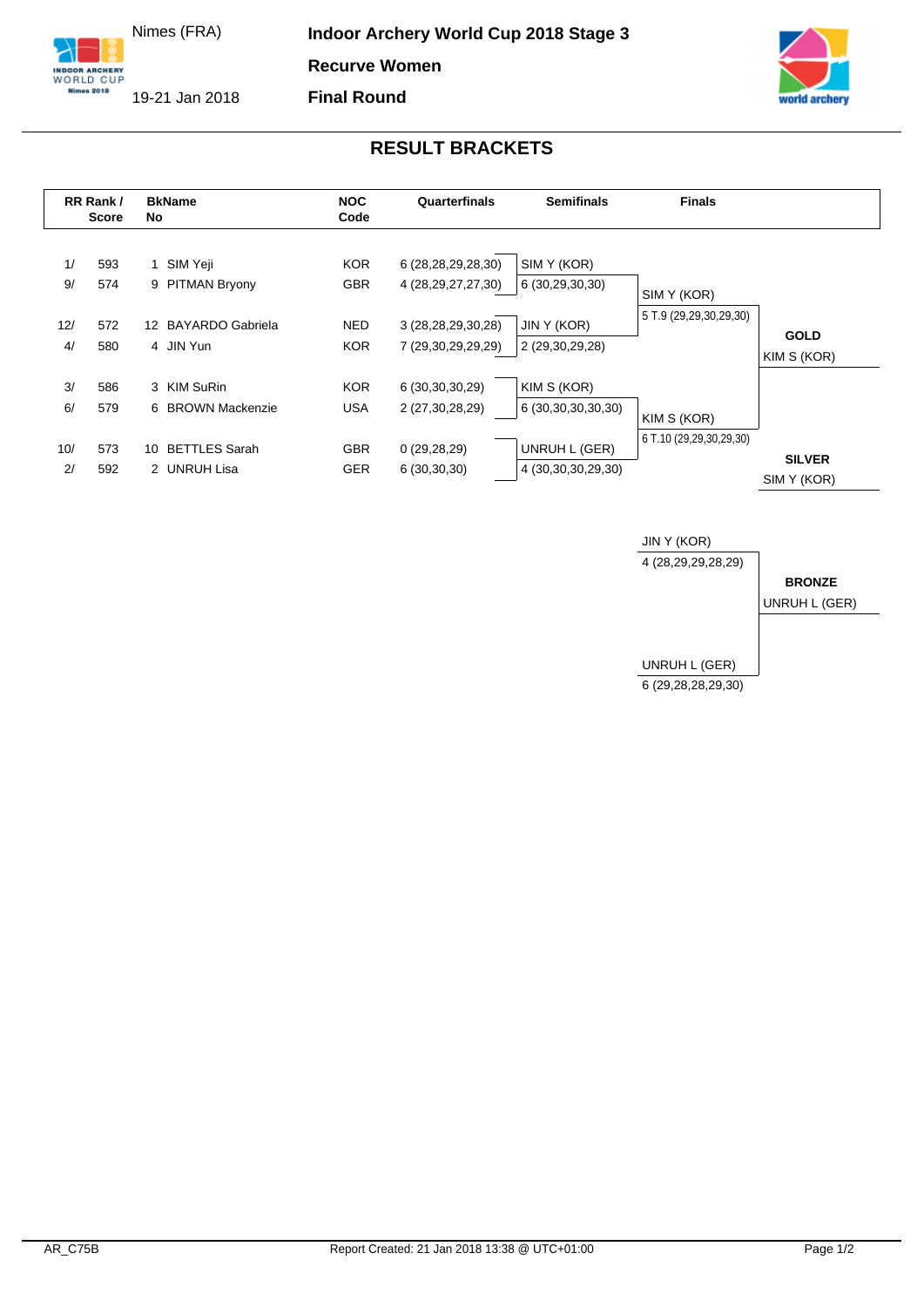Nimes (FRA)

**INDOOR ARCHERY**<br>WORLD CUP **Nimes 2018** 

**Indoor Archery World Cup 2018 Stage 3** 

**Recurve Women**

**Final Round**

19-21 Jan 2018

## **RESULT BRACKETS**